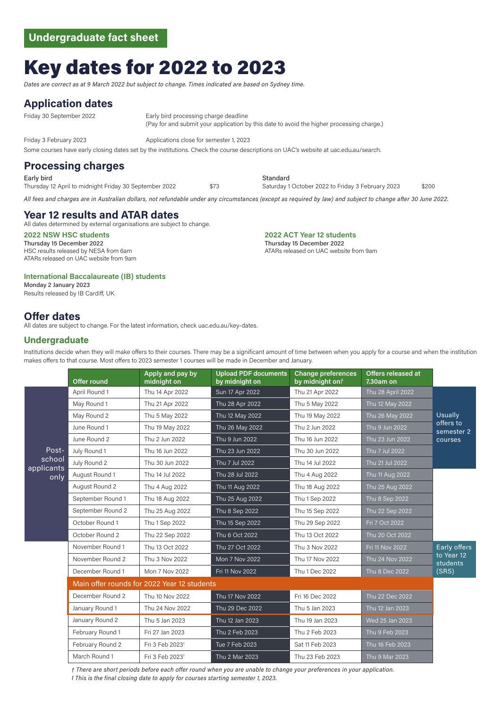# Key dates for 2022 to 2023

*Dates are correct as at 9 March 2022 but subject to change. Times indicated are based on Sydney time.*

#### **Application dates**

Friday 30 September 2022 Early bird processing charge deadline (Pay for and submit your application by this date to avoid the higher processing charge.)

Friday 3 February 2023 Applications close for semester 1, 2023

Some courses have early closing dates set by the institutions. Check the course descriptions on UAC's website at [uac.edu.au/search.](http://www.uac.edu.au/undergraduate/course-search/)

## **Processing charges**

Early bird Standard Thursday 12 April to midnight Friday 30 September 2022 \$73 Saturday 1 October 2022 to Friday 3 February 2023 \$200

*All fees and charges are in Australian dollars, not refundable under any circumstances (except as required by law) and subject to change after 30 June 2022.* 

## **Year 12 results and ATAR dates**

All dates determined by external organisations are subject to change.

Thursday 15 December 2022 HSC results released by NESA from 6am ATARs released on UAC website from 9am

#### **International Baccalaureate (IB) students**

Monday 2 January 2023 Results released by IB Cardiff, UK

## **Offer dates**

All dates are subject to change. For the latest information, check uac.edu.au/key-dates.

#### **Undergraduate**

Institutions decide when they will make offers to their courses. There may be a significant amount of time between when you apply for a course and when the institution makes offers to that course. Most offers to 2023 semester 1 courses will be made in December and January.

|                                       | Offer round                                 | Apply and pay by<br>midnight on | <b>Upload PDF documents</b><br>by midnight on | Change preferences<br>by midnight ont | <b>Offers released at</b><br>7.30am on |                                                      |
|---------------------------------------|---------------------------------------------|---------------------------------|-----------------------------------------------|---------------------------------------|----------------------------------------|------------------------------------------------------|
| Post-<br>school<br>applicants<br>only | April Round 1                               | Thu 14 Apr 2022                 | Sun 17 Apr 2022                               | Thu 21 Apr 2022                       | Thu 28 April 2022                      | <b>Usually</b><br>offers to<br>semester 2<br>courses |
|                                       | May Round 1                                 | Thu 21 Apr 2022                 | Thu 28 Apr 2022                               | Thu 5 May 2022                        | Thu 12 May 2022                        |                                                      |
|                                       | May Round 2                                 | Thu 5 May 2022                  | Thu 12 May 2022                               | Thu 19 May 2022                       | Thu 26 May 2022                        |                                                      |
|                                       | June Round 1                                | Thu 19 May 2022                 | Thu 26 May 2022                               | Thu 2 Jun 2022                        | Thu 9 Jun 2022                         |                                                      |
|                                       | June Round 2                                | Thu 2 Jun 2022                  | Thu 9 Jun 2022                                | Thu 16 Jun 2022                       | Thu 23 Jun 2022                        |                                                      |
|                                       | July Round 1                                | Thu 16 Jun 2022                 | Thu 23 Jun 2022                               | Thu 30 Jun 2022                       | Thu 7 Jul 2022                         |                                                      |
|                                       | July Round 2                                | Thu 30 Jun 2022                 | Thu 7 Jul 2022                                | Thu 14 Jul 2022                       | Thu 21 Jul 2022                        |                                                      |
|                                       | August Round 1                              | Thu 14 Jul 2022                 | Thu 28 Jul 2022                               | Thu 4 Aug 2022                        | Thu 11 Aug 2022                        |                                                      |
|                                       | August Round 2                              | Thu 4 Aug 2022                  | Thu 11 Aug 2022                               | Thu 18 Aug 2022                       | Thu 25 Aug 2022                        |                                                      |
|                                       | September Round 1                           | Thu 18 Aug 2022                 | Thu 25 Aug 2022                               | Thu 1 Sep 2022                        | Thu 8 Sep 2022                         |                                                      |
|                                       | September Round 2                           | Thu 25 Aug 2022                 | Thu 8 Sep 2022                                | Thu 15 Sep 2022                       | Thu 22 Sep 2022                        |                                                      |
|                                       | October Round 1                             | Thu 1 Sep 2022                  | Thu 15 Sep 2022                               | Thu 29 Sep 2022                       | Fri 7 Oct 2022                         |                                                      |
|                                       | October Round 2                             | Thu 22 Sep 2022                 | Thu 6 Oct 2022                                | Thu 13 Oct 2022                       | Thu 20 Oct 2022                        |                                                      |
|                                       | November Round 1                            | Thu 13 Oct 2022                 | Thu 27 Oct 2022                               | Thu 3 Nov 2022                        | Fri 11 Nov 2022                        | Early offers<br>to Year 12<br>students<br>(SRS)      |
|                                       | November Round 2                            | Thu 3 Nov 2022                  | Mon 7 Nov 2022                                | Thu 17 Nov 2022                       | Thu 24 Nov 2022                        |                                                      |
|                                       | December Round 1                            | Mon 7 Nov 2022                  | Fri 11 Nov 2022                               | Thu 1 Dec 2022                        | Thu 8 Dec 2022                         |                                                      |
|                                       | Main offer rounds for 2022 Year 12 students |                                 |                                               |                                       |                                        |                                                      |
|                                       | December Round 2                            | Thu 10 Nov 2022                 | Thu 17 Nov 2022                               | Fri 16 Dec 2022                       | Thu 22 Dec 2022                        |                                                      |
|                                       | January Round 1                             | Thu 24 Nov 2022                 | Thu 29 Dec 2022                               | Thu 5 Jan 2023                        | Thu 12 Jan 2023                        |                                                      |
|                                       | January Round 2                             | Thu 5 Jan 2023                  | Thu 12 Jan 2023                               | Thu 19 Jan 2023                       | Wed 25 Jan 2023                        |                                                      |
|                                       | February Round 1                            | Fri 27 Jan 2023                 | Thu 2 Feb 2023                                | Thu 2 Feb 2023                        | Thu 9 Feb 2023                         |                                                      |
|                                       | February Round 2                            | Fri 3 Feb 2023 <sup>1</sup>     | Tue 7 Feb 2023                                | Sat 11 Feb 2023                       | Thu 16 Feb 2023                        |                                                      |
|                                       | March Round 1                               | Fri 3 Feb 2023 <sup>1</sup>     | Thu 2 Mar 2023                                | Thu 23 Feb 2023                       | Thu 9 Mar 2023                         |                                                      |
|                                       |                                             |                                 |                                               |                                       |                                        |                                                      |

*† There are short periods before each offer round when you are unable to change your preferences in your application. 1 This is the final closing date to apply for courses starting semester 1, 2023.* 

**2022 NSW HSC students 2022 ACT Year 12 students** Thursday 15 December 2022 ATARs released on UAC website from 9am